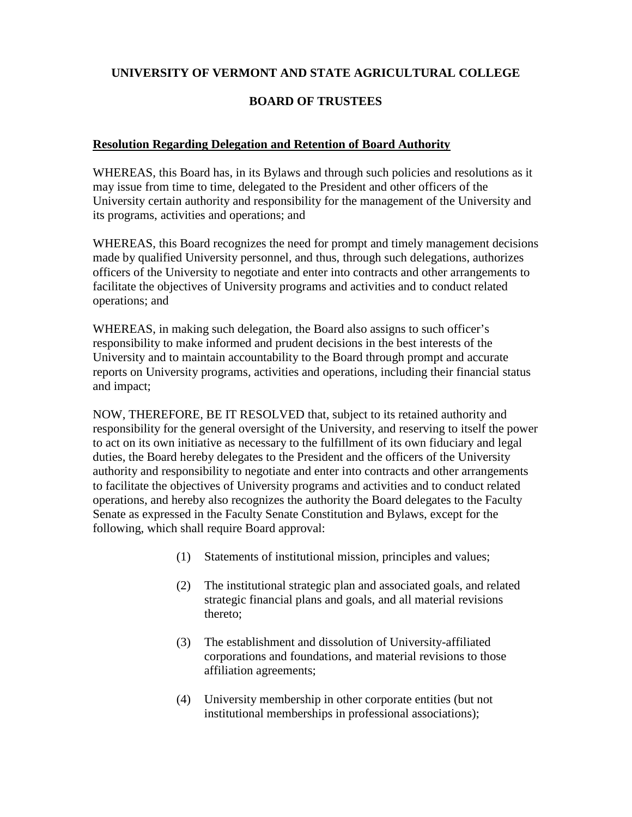## **UNIVERSITY OF VERMONT AND STATE AGRICULTURAL COLLEGE**

## **BOARD OF TRUSTEES**

## **Resolution Regarding Delegation and Retention of Board Authority**

WHEREAS, this Board has, in its Bylaws and through such policies and resolutions as it may issue from time to time, delegated to the President and other officers of the University certain authority and responsibility for the management of the University and its programs, activities and operations; and

WHEREAS, this Board recognizes the need for prompt and timely management decisions made by qualified University personnel, and thus, through such delegations, authorizes officers of the University to negotiate and enter into contracts and other arrangements to facilitate the objectives of University programs and activities and to conduct related operations; and

WHEREAS, in making such delegation, the Board also assigns to such officer's responsibility to make informed and prudent decisions in the best interests of the University and to maintain accountability to the Board through prompt and accurate reports on University programs, activities and operations, including their financial status and impact;

NOW, THEREFORE, BE IT RESOLVED that, subject to its retained authority and responsibility for the general oversight of the University, and reserving to itself the power to act on its own initiative as necessary to the fulfillment of its own fiduciary and legal duties, the Board hereby delegates to the President and the officers of the University authority and responsibility to negotiate and enter into contracts and other arrangements to facilitate the objectives of University programs and activities and to conduct related operations, and hereby also recognizes the authority the Board delegates to the Faculty Senate as expressed in the Faculty Senate Constitution and Bylaws, except for the following, which shall require Board approval:

- (1) Statements of institutional mission, principles and values;
- (2) The institutional strategic plan and associated goals, and related strategic financial plans and goals, and all material revisions thereto;
- (3) The establishment and dissolution of University-affiliated corporations and foundations, and material revisions to those affiliation agreements;
- (4) University membership in other corporate entities (but not institutional memberships in professional associations);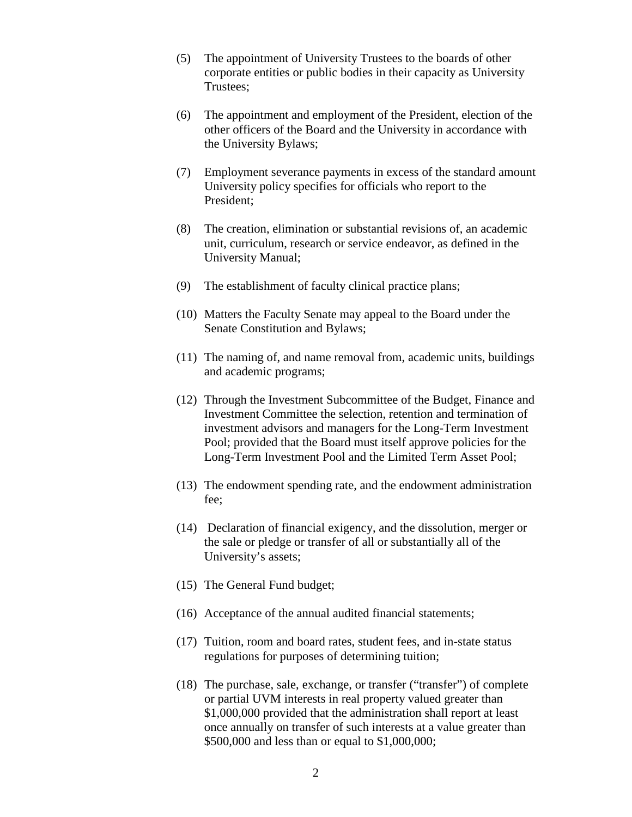- (5) The appointment of University Trustees to the boards of other corporate entities or public bodies in their capacity as University Trustees;
- (6) The appointment and employment of the President, election of the other officers of the Board and the University in accordance with the University Bylaws;
- (7) Employment severance payments in excess of the standard amount University policy specifies for officials who report to the President;
- (8) The creation, elimination or substantial revisions of, an academic unit, curriculum, research or service endeavor, as defined in the University Manual;
- (9) The establishment of faculty clinical practice plans;
- (10) Matters the Faculty Senate may appeal to the Board under the Senate Constitution and Bylaws;
- (11) The naming of, and name removal from, academic units, buildings and academic programs;
- (12) Through the Investment Subcommittee of the Budget, Finance and Investment Committee the selection, retention and termination of investment advisors and managers for the Long-Term Investment Pool; provided that the Board must itself approve policies for the Long-Term Investment Pool and the Limited Term Asset Pool;
- (13) The endowment spending rate, and the endowment administration fee;
- (14) Declaration of financial exigency, and the dissolution, merger or the sale or pledge or transfer of all or substantially all of the University's assets;
- (15) The General Fund budget;
- (16) Acceptance of the annual audited financial statements;
- (17) Tuition, room and board rates, student fees, and in-state status regulations for purposes of determining tuition;
- (18) The purchase, sale, exchange, or transfer ("transfer") of complete or partial UVM interests in real property valued greater than \$1,000,000 provided that the administration shall report at least once annually on transfer of such interests at a value greater than \$500,000 and less than or equal to \$1,000,000;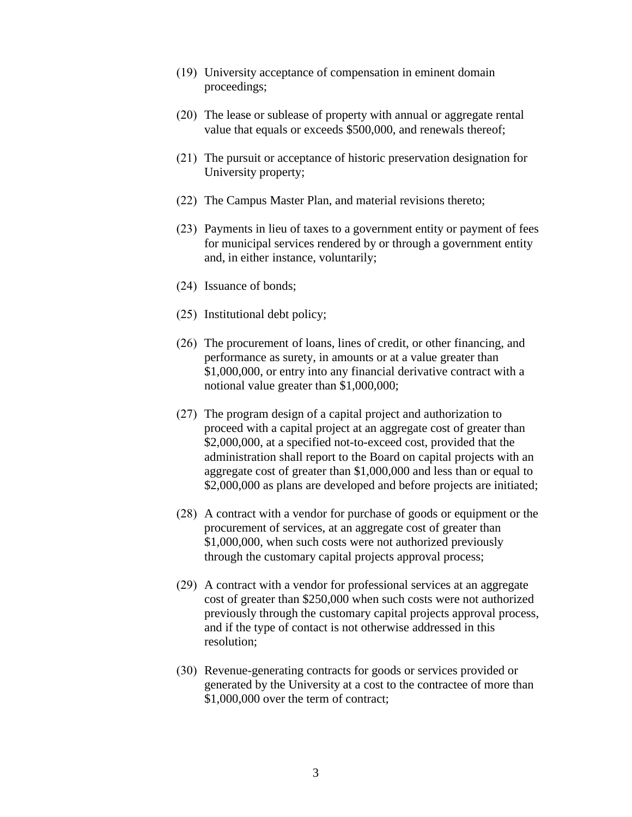- (19) University acceptance of compensation in eminent domain proceedings;
- (20) The lease or sublease of property with annual or aggregate rental value that equals or exceeds \$500,000, and renewals thereof;
- (21) The pursuit or acceptance of historic preservation designation for University property;
- (22) The Campus Master Plan, and material revisions thereto;
- (23) Payments in lieu of taxes to a government entity or payment of fees for municipal services rendered by or through a government entity and, in either instance, voluntarily;
- (24) Issuance of bonds;
- (25) Institutional debt policy;
- (26) The procurement of loans, lines of credit, or other financing, and performance as surety, in amounts or at a value greater than \$1,000,000, or entry into any financial derivative contract with a notional value greater than \$1,000,000;
- (27) The program design of a capital project and authorization to proceed with a capital project at an aggregate cost of greater than \$2,000,000, at a specified not-to-exceed cost, provided that the administration shall report to the Board on capital projects with an aggregate cost of greater than \$1,000,000 and less than or equal to \$2,000,000 as plans are developed and before projects are initiated;
- (28) A contract with a vendor for purchase of goods or equipment or the procurement of services, at an aggregate cost of greater than \$1,000,000, when such costs were not authorized previously through the customary capital projects approval process;
- (29) A contract with a vendor for professional services at an aggregate cost of greater than \$250,000 when such costs were not authorized previously through the customary capital projects approval process, and if the type of contact is not otherwise addressed in this resolution;
- (30) Revenue-generating contracts for goods or services provided or generated by the University at a cost to the contractee of more than \$1,000,000 over the term of contract;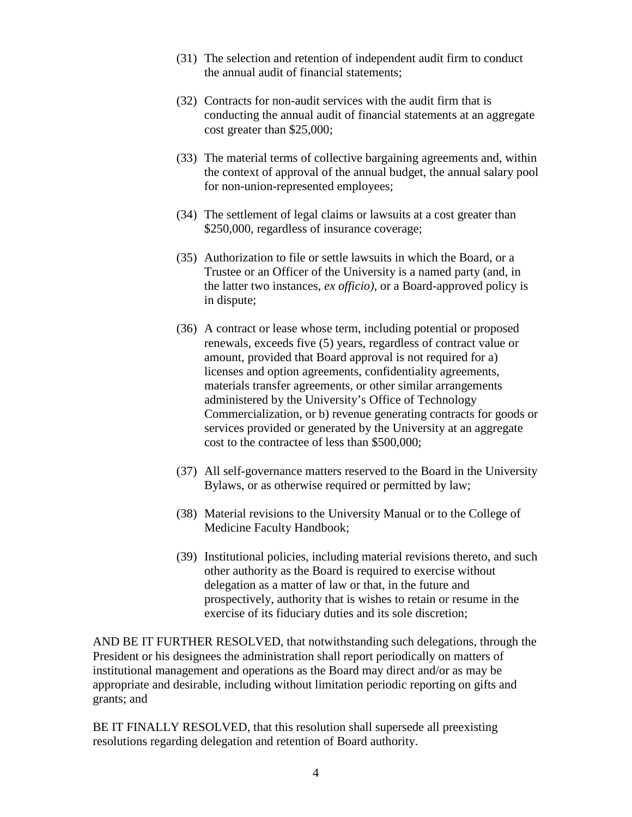- (31) The selection and retention of independent audit firm to conduct the annual audit of financial statements;
- (32) Contracts for non-audit services with the audit firm that is conducting the annual audit of financial statements at an aggregate cost greater than \$25,000;
- (33) The material terms of collective bargaining agreements and, within the context of approval of the annual budget, the annual salary pool for non-union-represented employees;
- (34) The settlement of legal claims or lawsuits at a cost greater than \$250,000, regardless of insurance coverage;
- (35) Authorization to file or settle lawsuits in which the Board, or a Trustee or an Officer of the University is a named party (and, in the latter two instances, *ex officio),* or a Board-approved policy is in dispute;
- (36) A contract or lease whose term, including potential or proposed renewals, exceeds five (5) years, regardless of contract value or amount, provided that Board approval is not required for a) licenses and option agreements, confidentiality agreements, materials transfer agreements, or other similar arrangements administered by the University's Office of Technology Commercialization, or b) revenue generating contracts for goods or services provided or generated by the University at an aggregate cost to the contractee of less than \$500,000;
- (37) All self-governance matters reserved to the Board in the University Bylaws, or as otherwise required or permitted by law;
- (38) Material revisions to the University Manual or to the College of Medicine Faculty Handbook;
- (39) Institutional policies, including material revisions thereto, and such other authority as the Board is required to exercise without delegation as a matter of law or that, in the future and prospectively, authority that is wishes to retain or resume in the exercise of its fiduciary duties and its sole discretion;

AND BE IT FURTHER RESOLVED, that notwithstanding such delegations, through the President or his designees the administration shall report periodically on matters of institutional management and operations as the Board may direct and/or as may be appropriate and desirable, including without limitation periodic reporting on gifts and grants; and

BE IT FINALLY RESOLVED, that this resolution shall supersede all preexisting resolutions regarding delegation and retention of Board authority.